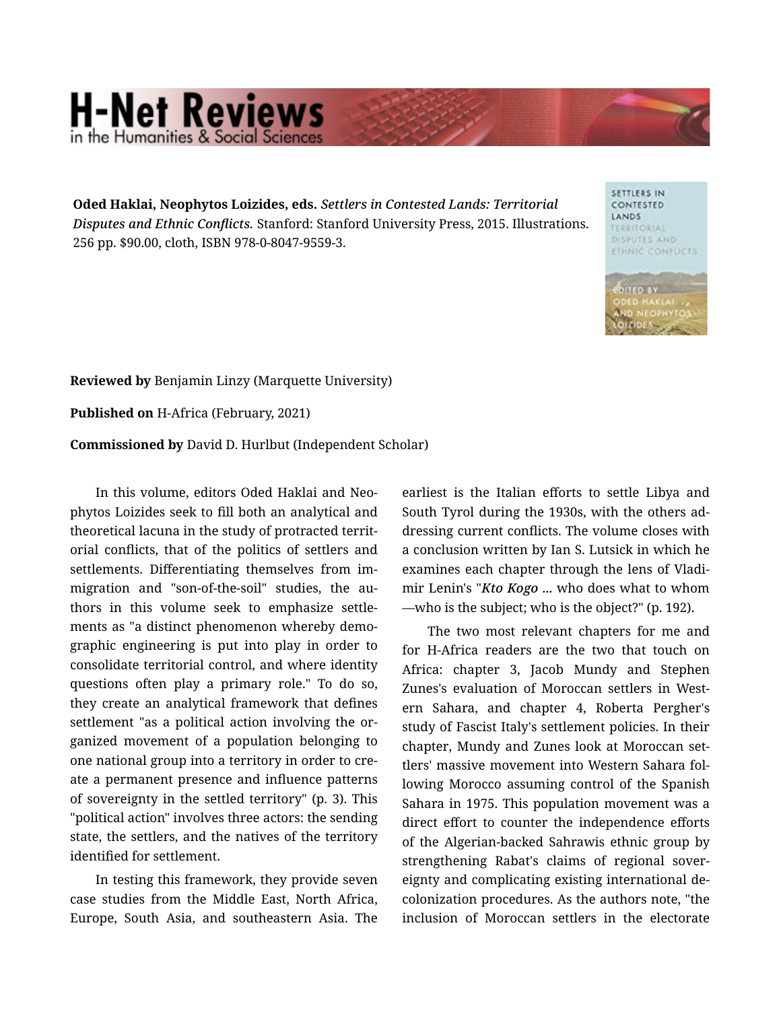## **H-Net Reviews** in the Humanities & Social Scie

Oded Haklai, Neophytos Loizides, eds. *Settlers in Contested Lands: Territorial Disputes and Ethnic Conflicts.* Stanford: Stanford University Press, 2015. Illustrations. 256 pp. \$90.00, cloth, ISBN 978-0-8047-9559-3.

SETTLERS IN CONTESTED LANDS **TERRITORIAL** DISPUTES AND **ETHNIC CONFLICTS** 

Reviewed by Benjamin Linzy (Marquette University)

Published on H-Africa (February, 2021)

Commissioned by David D. Hurlbut (Independent Scholar)

In this volume, editors Oded Haklai and Neo‐ phytos Loizides seek to fill both an analytical and theoretical lacuna in the study of protracted territ‐ orial conflicts, that of the politics of settlers and settlements. Differentiating themselves from im‐ migration and "son-of-the-soil" studies, the au‐ thors in this volume seek to emphasize settle‐ ments as "a distinct phenomenon whereby demo‐ graphic engineering is put into play in order to consolidate territorial control, and where identity questions often play a primary role." To do so, they create an analytical framework that defines settlement "as a political action involving the or‐ ganized movement of a population belonging to one national group into a territory in order to cre‐ ate a permanent presence and influence patterns of sovereignty in the settled territory" (p. 3). This "political action" involves three actors: the sending state, the settlers, and the natives of the territory identified for settlement.

In testing this framework, they provide seven case studies from the Middle East, North Africa, Europe, South Asia, and southeastern Asia. The

earliest is the Italian efforts to settle Libya and South Tyrol during the 1930s, with the others ad‐ dressing current conflicts. The volume closes with a conclusion written by Ian S. Lutsick in which he examines each chapter through the lens of Vladi‐ mir Lenin's "*Kto Kogo ...* who does what to whom —who is the subject; who is the object?" (p. 192).

The two most relevant chapters for me and for H-Africa readers are the two that touch on Africa: chapter 3, Jacob Mundy and Stephen Zunes's evaluation of Moroccan settlers in West‐ ern Sahara, and chapter 4, Roberta Pergher's study of Fascist Italy's settlement policies. In their chapter, Mundy and Zunes look at Moroccan set‐ tlers' massive movement into Western Sahara fol‐ lowing Morocco assuming control of the Spanish Sahara in 1975. This population movement was a direct effort to counter the independence efforts of the Algerian-backed Sahrawis ethnic group by strengthening Rabat's claims of regional sover‐ eignty and complicating existing international de‐ colonization procedures. As the authors note, "the inclusion of Moroccan settlers in the electorate